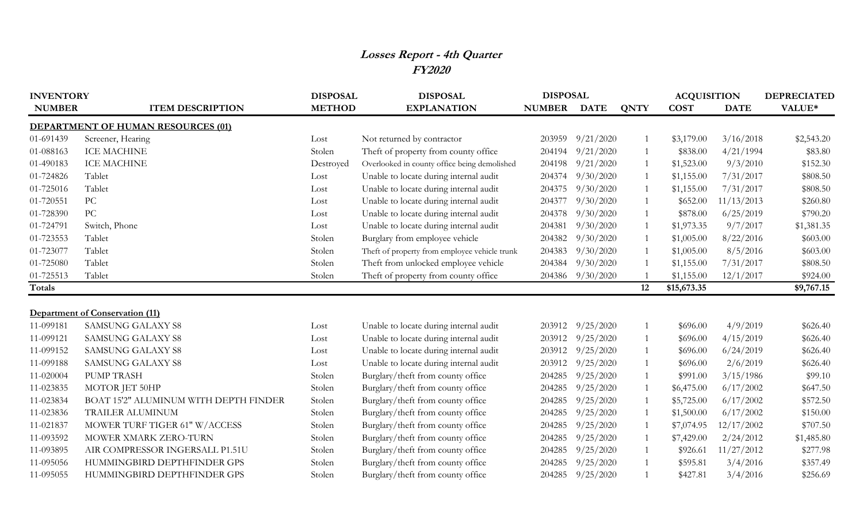## **Losses Report - 4th Quarter FY2020**

| <b>INVENTORY</b> |                                           | <b>DISPOSAL</b> | <b>DISPOSAL</b>                               | <b>DISPOSAL</b> |           |                | <b>ACQUISITION</b> |             | <b>DEPRECIATED</b> |
|------------------|-------------------------------------------|-----------------|-----------------------------------------------|-----------------|-----------|----------------|--------------------|-------------|--------------------|
| <b>NUMBER</b>    | <b>ITEM DESCRIPTION</b>                   | <b>METHOD</b>   | <b>EXPLANATION</b>                            | NUMBER DATE     |           | <b>QNTY</b>    | <b>COST</b>        | <b>DATE</b> | VALUE*             |
|                  | <b>DEPARTMENT OF HUMAN RESOURCES (01)</b> |                 |                                               |                 |           |                |                    |             |                    |
| 01-691439        | Screener, Hearing                         | Lost            | Not returned by contractor                    | 203959          | 9/21/2020 |                | \$3,179.00         | 3/16/2018   | \$2,543.20         |
| 01-088163        | <b>ICE MACHINE</b>                        | Stolen          | Theft of property from county office          | 204194          | 9/21/2020 | $\mathbf{1}$   | \$838.00           | 4/21/1994   | \$83.80            |
| 01-490183        | <b>ICE MACHINE</b>                        | Destroyed       | Overlooked in county office being demolished  | 204198          | 9/21/2020 | $\mathbf{1}$   | \$1,523.00         | 9/3/2010    | \$152.30           |
| 01-724826        | Tablet                                    | Lost            | Unable to locate during internal audit        | 204374          | 9/30/2020 | $\mathbf{1}$   | \$1,155.00         | 7/31/2017   | \$808.50           |
| 01-725016        | Tablet                                    | Lost            | Unable to locate during internal audit        | 204375          | 9/30/2020 |                | \$1,155.00         | 7/31/2017   | \$808.50           |
| 01-720551        | PC                                        | Lost            | Unable to locate during internal audit        | 204377          | 9/30/2020 |                | \$652.00           | 11/13/2013  | \$260.80           |
| 01-728390        | PC                                        | Lost            | Unable to locate during internal audit        | 204378          | 9/30/2020 | $\overline{1}$ | \$878.00           | 6/25/2019   | \$790.20           |
| 01-724791        | Switch, Phone                             | Lost            | Unable to locate during internal audit        | 204381          | 9/30/2020 |                | \$1,973.35         | 9/7/2017    | \$1,381.35         |
| 01-723553        | Tablet                                    | Stolen          | Burglary from employee vehicle                | 204382          | 9/30/2020 |                | \$1,005.00         | 8/22/2016   | \$603.00           |
| 01-723077        | Tablet                                    | Stolen          | Theft of property from employee vehicle trunk | 204383          | 9/30/2020 | $\mathbf{1}$   | \$1,005.00         | 8/5/2016    | \$603.00           |
| 01-725080        | Tablet                                    | Stolen          | Theft from unlocked employee vehicle          | 204384          | 9/30/2020 |                | \$1,155.00         | 7/31/2017   | \$808.50           |
| 01-725513        | Tablet                                    | Stolen          | Theft of property from county office          | 204386          | 9/30/2020 |                | \$1,155.00         | 12/1/2017   | \$924.00           |
| Totals           |                                           |                 |                                               |                 |           | 12             | \$15,673.35        |             | \$9,767.15         |
|                  |                                           |                 |                                               |                 |           |                |                    |             |                    |
|                  | <b>Department of Conservation (11)</b>    |                 |                                               |                 |           |                |                    |             |                    |
| 11-099181        | <b>SAMSUNG GALAXY S8</b>                  | Lost            | Unable to locate during internal audit        | 203912          | 9/25/2020 | 1              | \$696.00           | 4/9/2019    | \$626.40           |
| 11-099121        | <b>SAMSUNG GALAXY S8</b>                  | Lost            | Unable to locate during internal audit        | 203912          | 9/25/2020 | $\overline{1}$ | \$696.00           | 4/15/2019   | \$626.40           |
| 11-099152        | <b>SAMSUNG GALAXY S8</b>                  | Lost            | Unable to locate during internal audit        | 203912          | 9/25/2020 | $\overline{1}$ | \$696.00           | 6/24/2019   | \$626.40           |
| 11-099188        | <b>SAMSUNG GALAXY S8</b>                  | Lost            | Unable to locate during internal audit        | 203912          | 9/25/2020 |                | \$696.00           | 2/6/2019    | \$626.40           |
| 11-020004        | <b>PUMP TRASH</b>                         | Stolen          | Burglary/theft from county office             | 204285          | 9/25/2020 |                | \$991.00           | 3/15/1986   | \$99.10            |
| 11-023835        | MOTOR JET 50HP                            | Stolen          | Burglary/theft from county office             | 204285          | 9/25/2020 | $\overline{1}$ | \$6,475.00         | 6/17/2002   | \$647.50           |
| 11-023834        | BOAT 15'2" ALUMINUM WITH DEPTH FINDER     | Stolen          | Burglary/theft from county office             | 204285          | 9/25/2020 |                | \$5,725.00         | 6/17/2002   | \$572.50           |
| 11-023836        | <b>TRAILER ALUMINUM</b>                   | Stolen          | Burglary/theft from county office             | 204285          | 9/25/2020 | -1             | \$1,500.00         | 6/17/2002   | \$150.00           |
| 11-021837        | MOWER TURF TIGER 61" W/ACCESS             | Stolen          | Burglary/theft from county office             | 204285          | 9/25/2020 |                | \$7,074.95         | 12/17/2002  | \$707.50           |
| 11-093592        | MOWER XMARK ZERO-TURN                     | Stolen          | Burglary/theft from county office             | 204285          | 9/25/2020 |                | \$7,429.00         | 2/24/2012   | \$1,485.80         |
| 11-093895        | AIR COMPRESSOR INGERSALL P1.51U           | Stolen          | Burglary/theft from county office             | 204285          | 9/25/2020 | $\overline{1}$ | \$926.61           | 11/27/2012  | \$277.98           |
| 11-095056        | HUMMINGBIRD DEPTHFINDER GPS               | Stolen          | Burglary/theft from county office             | 204285          | 9/25/2020 |                | \$595.81           | 3/4/2016    | \$357.49           |
| 11-095055        | HUMMINGBIRD DEPTHFINDER GPS               | Stolen          | Burglary/theft from county office             | 204285          | 9/25/2020 |                | \$427.81           | 3/4/2016    | \$256.69           |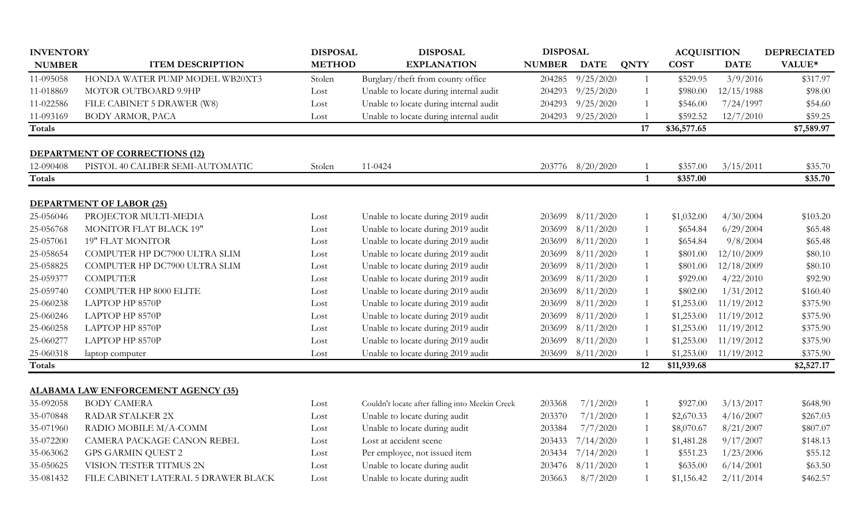| <b>INVENTORY</b> |                                            | <b>DISPOSAL</b> | <b>DISPOSAL</b>                                 | <b>DISPOSAL</b> |             |              | <b>ACQUISITION</b> |             | <b>DEPRECIATED</b> |
|------------------|--------------------------------------------|-----------------|-------------------------------------------------|-----------------|-------------|--------------|--------------------|-------------|--------------------|
| <b>NUMBER</b>    | <b>ITEM DESCRIPTION</b>                    | <b>METHOD</b>   | <b>EXPLANATION</b>                              | <b>NUMBER</b>   | <b>DATE</b> | <b>QNTY</b>  | <b>COST</b>        | <b>DATE</b> | VALUE*             |
| 11-095058        | HONDA WATER PUMP MODEL WB20XT3             | Stolen          | Burglary/theft from county office               | 204285          | 9/25/2020   | $\mathbf{1}$ | \$529.95           | 3/9/2016    | \$317.97           |
| 11-018869        | MOTOR OUTBOARD 9.9HP                       | Lost            | Unable to locate during internal audit          | 204293          | 9/25/2020   |              | \$980.00           | 12/15/1988  | \$98.00            |
| 11-022586        | FILE CABINET 5 DRAWER (W8)                 | Lost            | Unable to locate during internal audit          | 204293          | 9/25/2020   |              | \$546.00           | 7/24/1997   | \$54.60            |
| 11-093169        | BODY ARMOR, PACA                           | Lost            | Unable to locate during internal audit          | 204293          | 9/25/2020   |              | \$592.52           | 12/7/2010   | \$59.25            |
| Totals           |                                            |                 |                                                 |                 |             | 17           | \$36,577.65        |             | \$7,589.97         |
|                  | <b>DEPARTMENT OF CORRECTIONS (12)</b>      |                 |                                                 |                 |             |              |                    |             |                    |
| 12-090408        | PISTOL 40 CALIBER SEMI-AUTOMATIC           | Stolen          | 11-0424                                         | 203776          | 8/20/2020   |              | \$357.00           | 3/15/2011   | \$35.70            |
| <b>Totals</b>    |                                            |                 |                                                 |                 |             | $\mathbf{1}$ | \$357.00           |             | \$35.70            |
|                  | <b>DEPARTMENT OF LABOR (25)</b>            |                 |                                                 |                 |             |              |                    |             |                    |
| 25-056046        | PROJECTOR MULTI-MEDIA                      | Lost            | Unable to locate during 2019 audit              | 203699          | 8/11/2020   |              | \$1,032.00         | 4/30/2004   | \$103.20           |
| 25-056768        | MONITOR FLAT BLACK 19"                     | Lost            | Unable to locate during 2019 audit              | 203699          | 8/11/2020   |              | \$654.84           | 6/29/2004   | \$65.48            |
| 25-057061        | <b>19" FLAT MONITOR</b>                    | Lost            | Unable to locate during 2019 audit              | 203699          | 8/11/2020   |              | \$654.84           | 9/8/2004    | \$65.48            |
| 25-058654        | COMPUTER HP DC7900 ULTRA SLIM              | Lost            | Unable to locate during 2019 audit              | 203699          | 8/11/2020   |              | \$801.00           | 12/10/2009  | \$80.10            |
| 25-058825        | COMPUTER HP DC7900 ULTRA SLIM              | Lost            | Unable to locate during 2019 audit              | 203699          | 8/11/2020   |              | \$801.00           | 12/18/2009  | \$80.10            |
| 25-059377        | <b>COMPUTER</b>                            | Lost            | Unable to locate during 2019 audit              | 203699          | 8/11/2020   |              | \$929.00           | 4/22/2010   | \$92.90            |
| 25-059740        | <b>COMPUTER HP 8000 ELITE</b>              | Lost            | Unable to locate during 2019 audit              | 203699          | 8/11/2020   |              | \$802.00           | 1/31/2012   | \$160.40           |
| 25-060238        | LAPTOP HP 8570P                            | Lost            | Unable to locate during 2019 audit              | 203699          | 8/11/2020   |              | \$1,253.00         | 11/19/2012  | \$375.90           |
| 25-060246        | LAPTOP HP 8570P                            | Lost            | Unable to locate during 2019 audit              | 203699          | 8/11/2020   |              | \$1,253.00         | 11/19/2012  | \$375.90           |
| 25-060258        | LAPTOP HP 8570P                            | Lost            | Unable to locate during 2019 audit              | 203699          | 8/11/2020   |              | \$1,253.00         | 11/19/2012  | \$375.90           |
| 25-060277        | LAPTOP HP 8570P                            | Lost            | Unable to locate during 2019 audit              | 203699          | 8/11/2020   |              | \$1,253.00         | 11/19/2012  | \$375.90           |
| 25-060318        | laptop computer                            | Lost            | Unable to locate during 2019 audit              | 203699          | 8/11/2020   |              | \$1,253.00         | 11/19/2012  | \$375.90           |
| <b>Totals</b>    |                                            |                 |                                                 |                 |             | 12           | \$11,939.68        |             | \$2,527.17         |
|                  | <b>ALABAMA LAW ENFORCEMENT AGENCY (35)</b> |                 |                                                 |                 |             |              |                    |             |                    |
| 35-092058        | <b>BODY CAMERA</b>                         | Lost            | Couldn't locate after falling into Meekin Creek | 203368          | 7/1/2020    |              | \$927.00           | 3/13/2017   | \$648.90           |
| 35-070848        | <b>RADAR STALKER 2X</b>                    | Lost            | Unable to locate during audit                   | 203370          | 7/1/2020    |              | \$2,670.33         | 4/16/2007   | \$267.03           |
| 35-071960        | RADIO MOBILE M/A-COMM                      | Lost            | Unable to locate during audit                   | 203384          | 7/7/2020    |              | \$8,070.67         | 8/21/2007   | \$807.07           |
| 35-072200        | CAMERA PACKAGE CANON REBEL                 | Lost            | Lost at accident scene                          | 203433          | 7/14/2020   |              | \$1,481.28         | 9/17/2007   | \$148.13           |
| 35-063062        | <b>GPS GARMIN QUEST 2</b>                  | Lost            | Per employee, not issued item                   | 203434          | 7/14/2020   |              | \$551.23           | 1/23/2006   | \$55.12            |
| 35-050625        | VISION TESTER TITMUS 2N                    | Lost            | Unable to locate during audit                   | 203476          | 8/11/2020   |              | \$635.00           | 6/14/2001   | \$63.50            |
| 35-081432        | FILE CABINET LATERAL 5 DRAWER BLACK        | Lost            | Unable to locate during audit                   | 203663          | 8/7/2020    |              | \$1,156.42         | 2/11/2014   | \$462.57           |
|                  |                                            |                 |                                                 |                 |             |              |                    |             |                    |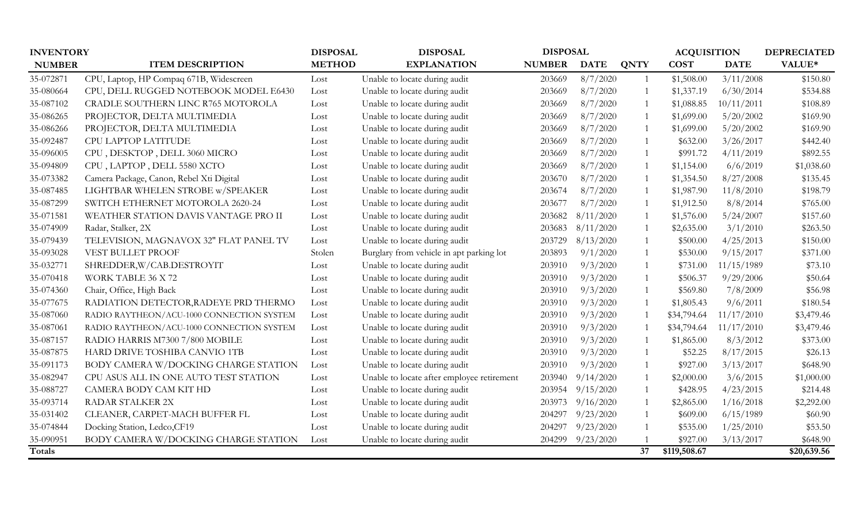| <b>INVENTORY</b> |                                           | <b>DISPOSAL</b> | <b>DISPOSAL</b>                            | <b>DISPOSAL</b> |             | <b>ACQUISITION</b> |              | <b>DEPRECIATED</b> |             |
|------------------|-------------------------------------------|-----------------|--------------------------------------------|-----------------|-------------|--------------------|--------------|--------------------|-------------|
| <b>NUMBER</b>    | <b>ITEM DESCRIPTION</b>                   | <b>METHOD</b>   | <b>EXPLANATION</b>                         | <b>NUMBER</b>   | <b>DATE</b> | <b>QNTY</b>        | <b>COST</b>  | <b>DATE</b>        | VALUE*      |
| 35-072871        | CPU, Laptop, HP Compaq 671B, Widescreen   | Lost            | Unable to locate during audit              | 203669          | 8/7/2020    |                    | \$1,508.00   | 3/11/2008          | \$150.80    |
| 35-080664        | CPU, DELL RUGGED NOTEBOOK MODEL E6430     | Lost            | Unable to locate during audit              | 203669          | 8/7/2020    |                    | \$1,337.19   | 6/30/2014          | \$534.88    |
| 35-087102        | CRADLE SOUTHERN LINC R765 MOTOROLA        | Lost            | Unable to locate during audit              | 203669          | 8/7/2020    |                    | \$1,088.85   | 10/11/2011         | \$108.89    |
| 35-086265        | PROJECTOR, DELTA MULTIMEDIA               | Lost            | Unable to locate during audit              | 203669          | 8/7/2020    |                    | \$1,699.00   | 5/20/2002          | \$169.90    |
| 35-086266        | PROJECTOR, DELTA MULTIMEDIA               | Lost            | Unable to locate during audit              | 203669          | 8/7/2020    |                    | \$1,699.00   | 5/20/2002          | \$169.90    |
| 35-092487        | CPU LAPTOP LATITUDE                       | Lost            | Unable to locate during audit              | 203669          | 8/7/2020    |                    | \$632.00     | 3/26/2017          | \$442.40    |
| 35-096005        | CPU, DESKTOP, DELL 3060 MICRO             | Lost            | Unable to locate during audit              | 203669          | 8/7/2020    |                    | \$991.72     | 4/11/2019          | \$892.55    |
| 35-094809        | CPU, LAPTOP, DELL 5580 XCTO               | Lost            | Unable to locate during audit              | 203669          | 8/7/2020    |                    | \$1,154.00   | 6/6/2019           | \$1,038.60  |
| 35-073382        | Camera Package, Canon, Rebel Xti Digital  | Lost            | Unable to locate during audit              | 203670          | 8/7/2020    |                    | \$1,354.50   | 8/27/2008          | \$135.45    |
| 35-087485        | LIGHTBAR WHELEN STROBE w/SPEAKER          | Lost            | Unable to locate during audit              | 203674          | 8/7/2020    |                    | \$1,987.90   | 11/8/2010          | \$198.79    |
| 35-087299        | SWITCH ETHERNET MOTOROLA 2620-24          | Lost            | Unable to locate during audit              | 203677          | 8/7/2020    |                    | \$1,912.50   | 8/8/2014           | \$765.00    |
| 35-071581        | WEATHER STATION DAVIS VANTAGE PRO II      | Lost            | Unable to locate during audit              | 203682          | 8/11/2020   |                    | \$1,576.00   | 5/24/2007          | \$157.60    |
| 35-074909        | Radar, Stalker, 2X                        | Lost            | Unable to locate during audit              | 203683          | 8/11/2020   |                    | \$2,635.00   | 3/1/2010           | \$263.50    |
| 35-079439        | TELEVISION, MAGNAVOX 32" FLAT PANEL TV    | Lost            | Unable to locate during audit              | 203729          | 8/13/2020   |                    | \$500.00     | 4/25/2013          | \$150.00    |
| 35-093028        | VEST BULLET PROOF                         | Stolen          | Burglary from vehicle in apt parking lot   | 203893          | 9/1/2020    |                    | \$530.00     | 9/15/2017          | \$371.00    |
| 35-032771        | SHREDDER, W/CAB.DESTROYIT                 | Lost            | Unable to locate during audit              | 203910          | 9/3/2020    |                    | \$731.00     | 11/15/1989         | \$73.10     |
| 35-070418        | WORK TABLE 36 X 72                        | Lost            | Unable to locate during audit              | 203910          | 9/3/2020    |                    | \$506.37     | 9/29/2006          | \$50.64     |
| 35-074360        | Chair, Office, High Back                  | Lost            | Unable to locate during audit              | 203910          | 9/3/2020    |                    | \$569.80     | 7/8/2009           | \$56.98     |
| 35-077675        | RADIATION DETECTOR, RADEYE PRD THERMO     | Lost            | Unable to locate during audit              | 203910          | 9/3/2020    |                    | \$1,805.43   | 9/6/2011           | \$180.54    |
| 35-087060        | RADIO RAYTHEON/ACU-1000 CONNECTION SYSTEM | Lost            | Unable to locate during audit              | 203910          | 9/3/2020    |                    | \$34,794.64  | 11/17/2010         | \$3,479.46  |
| 35-087061        | RADIO RAYTHEON/ACU-1000 CONNECTION SYSTEM | Lost            | Unable to locate during audit              | 203910          | 9/3/2020    |                    | \$34,794.64  | 11/17/2010         | \$3,479.46  |
| 35-087157        | RADIO HARRIS M7300 7/800 MOBILE           | Lost            | Unable to locate during audit              | 203910          | 9/3/2020    |                    | \$1,865.00   | 8/3/2012           | \$373.00    |
| 35-087875        | HARD DRIVE TOSHIBA CANVIO 1TB             | Lost            | Unable to locate during audit              | 203910          | 9/3/2020    |                    | \$52.25      | 8/17/2015          | \$26.13     |
| 35-091173        | BODY CAMERA W/DOCKING CHARGE STATION      | Lost            | Unable to locate during audit              | 203910          | 9/3/2020    |                    | \$927.00     | 3/13/2017          | \$648.90    |
| 35-082947        | CPU ASUS ALL IN ONE AUTO TEST STATION     | Lost            | Unable to locate after employee retirement | 203940          | 9/14/2020   |                    | \$2,000.00   | 3/6/2015           | \$1,000.00  |
| 35-088727        | CAMERA BODY CAM KIT HD                    | Lost            | Unable to locate during audit              | 203954          | 9/15/2020   |                    | \$428.95     | 4/23/2015          | \$214.48    |
| 35-093714        | <b>RADAR STALKER 2X</b>                   | Lost            | Unable to locate during audit              | 203973          | 9/16/2020   |                    | \$2,865.00   | 1/16/2018          | \$2,292.00  |
| 35-031402        | CLEANER, CARPET-MACH BUFFER FL            | Lost            | Unable to locate during audit              | 204297          | 9/23/2020   |                    | \$609.00     | 6/15/1989          | \$60.90     |
| 35-074844        | Docking Station, Ledco, CF19              | Lost            | Unable to locate during audit              | 204297          | 9/23/2020   |                    | \$535.00     | 1/25/2010          | \$53.50     |
| 35-090951        | BODY CAMERA W/DOCKING CHARGE STATION      | Lost            | Unable to locate during audit              | 204299          | 9/23/2020   |                    | \$927.00     | 3/13/2017          | \$648.90    |
| <b>Totals</b>    |                                           |                 |                                            |                 |             | 37                 | \$119,508.67 |                    | \$20,639.56 |